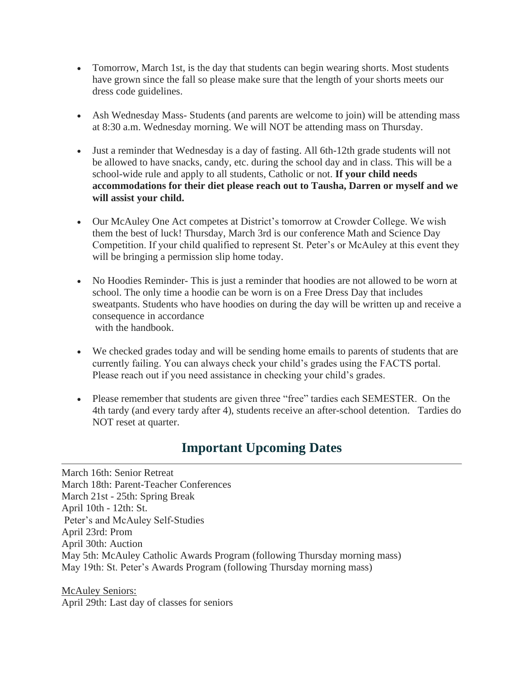- Tomorrow, March 1st, is the day that students can begin wearing shorts. Most students have grown since the fall so please make sure that the length of your shorts meets our dress code guidelines.
- Ash Wednesday Mass-Students (and parents are welcome to join) will be attending mass at 8:30 a.m. Wednesday morning. We will NOT be attending mass on Thursday.
- Just a reminder that Wednesday is a day of fasting. All 6th-12th grade students will not be allowed to have snacks, candy, etc. during the school day and in class. This will be a school-wide rule and apply to all students, Catholic or not. **If your child needs accommodations for their diet please reach out to Tausha, Darren or myself and we will assist your child.**
- Our McAuley One Act competes at District's tomorrow at Crowder College. We wish them the best of luck! Thursday, March 3rd is our conference Math and Science Day Competition. If your child qualified to represent St. Peter's or McAuley at this event they will be bringing a permission slip home today.
- No Hoodies Reminder-This is just a reminder that hoodies are not allowed to be worn at school. The only time a hoodie can be worn is on a Free Dress Day that includes sweatpants. Students who have hoodies on during the day will be written up and receive a consequence in accordance with the handbook.
- We checked grades today and will be sending home emails to parents of students that are currently failing. You can always check your child's grades using the FACTS portal. Please reach out if you need assistance in checking your child's grades.
- Please remember that students are given three "free" tardies each SEMESTER. On the 4th tardy (and every tardy after 4), students receive an after-school detention. Tardies do NOT reset at quarter.

## **Important Upcoming Dates**

March 16th: Senior Retreat March 18th: Parent-Teacher Conferences March 21st - 25th: Spring Break April 10th - 12th: St. Peter's and McAuley Self-Studies April 23rd: Prom April 30th: Auction May 5th: McAuley Catholic Awards Program (following Thursday morning mass) May 19th: St. Peter's Awards Program (following Thursday morning mass)

McAuley Seniors: April 29th: Last day of classes for seniors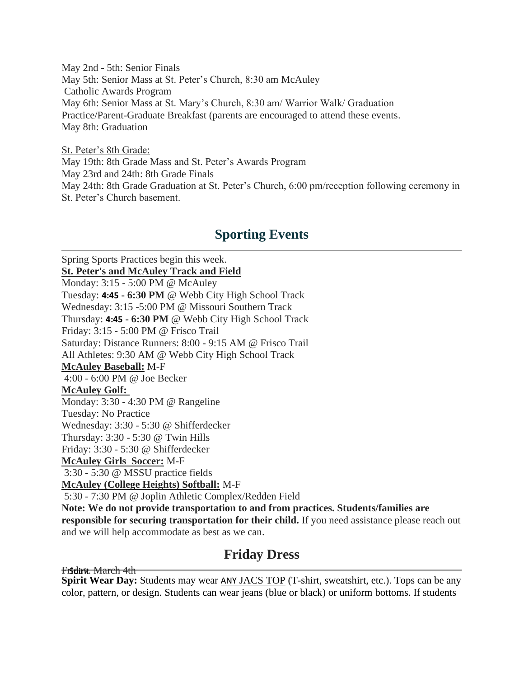May 2nd - 5th: Senior Finals May 5th: Senior Mass at St. Peter's Church, 8:30 am McAuley Catholic Awards Program May 6th: Senior Mass at St. Mary's Church, 8:30 am/ Warrior Walk/ Graduation Practice/Parent-Graduate Breakfast (parents are encouraged to attend these events. May 8th: Graduation

St. Peter's 8th Grade: May 19th: 8th Grade Mass and St. Peter's Awards Program May 23rd and 24th: 8th Grade Finals May 24th: 8th Grade Graduation at St. Peter's Church, 6:00 pm/reception following ceremony in St. Peter's Church basement.

# **Sporting Events**

Spring Sports Practices begin this week. **St. Peter's and McAuley Track and Field** Monday: 3:15 - 5:00 PM @ McAuley Tuesday: **4:45 - 6:30 PM** @ Webb City High School Track Wednesday: 3:15 -5:00 PM @ Missouri Southern Track Thursday: **4:45 - 6:30 PM** @ Webb City High School Track Friday: 3:15 - 5:00 PM @ Frisco Trail Saturday: Distance Runners: 8:00 - 9:15 AM @ Frisco Trail All Athletes: 9:30 AM @ Webb City High School Track **McAuley Baseball:** M-F 4:00 - 6:00 PM @ Joe Becker **McAuley Golf:** Monday: 3:30 - 4:30 PM @ Rangeline Tuesday: No Practice Wednesday: 3:30 - 5:30 @ Shifferdecker Thursday: 3:30 - 5:30 @ Twin Hills Friday: 3:30 - 5:30 @ Shifferdecker **McAuley Girls Soccer:** M-F 3:30 - 5:30 @ MSSU practice fields **McAuley (College Heights) Softball:** M-F 5:30 - 7:30 PM @ Joplin Athletic Complex/Redden Field **Note: We do not provide transportation to and from practices. Students/families are responsible for securing transportation for their child.** If you need assistance please reach out and we will help accommodate as best as we can.

### **Friday Dress**

Friday, March 4th

**Spirit Wear Day:** Students may wear ANY JACS TOP (T-shirt, sweatshirt, etc.). Tops can be any color, pattern, or design. Students can wear jeans (blue or black) or uniform bottoms. If students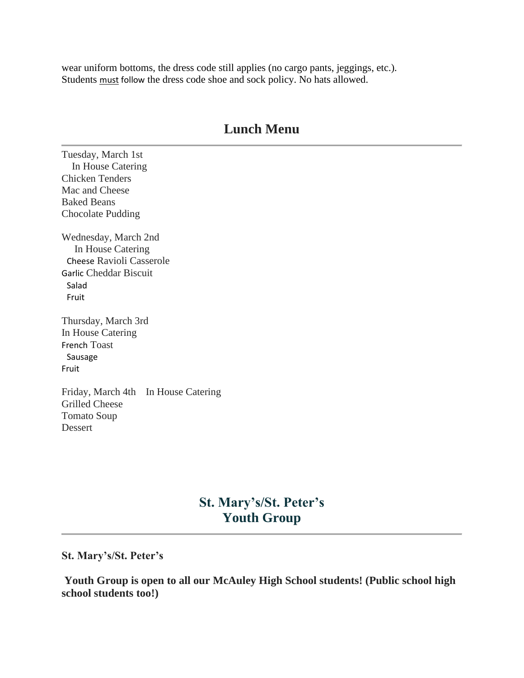wear uniform bottoms, the dress code still applies (no cargo pants, jeggings, etc.). Students must follow the dress code shoe and sock policy. No hats allowed.

### **Lunch Menu**

Tuesday, March 1st In House Catering Chicken Tenders Mac and Cheese Baked Beans Chocolate Pudding

Wednesday, March 2nd In House Catering Cheese Ravioli Casserole Garlic Cheddar Biscuit Salad Fruit

Thursday, March 3rd In House Catering French Toast Sausage Fruit

Friday, March 4th In House Catering Grilled Cheese Tomato Soup Dessert

### **St. Mary's/St. Peter's Youth Group**

#### **St. Mary's/St. Peter's**

**Youth Group is open to all our McAuley High School students! (Public school high school students too!)**